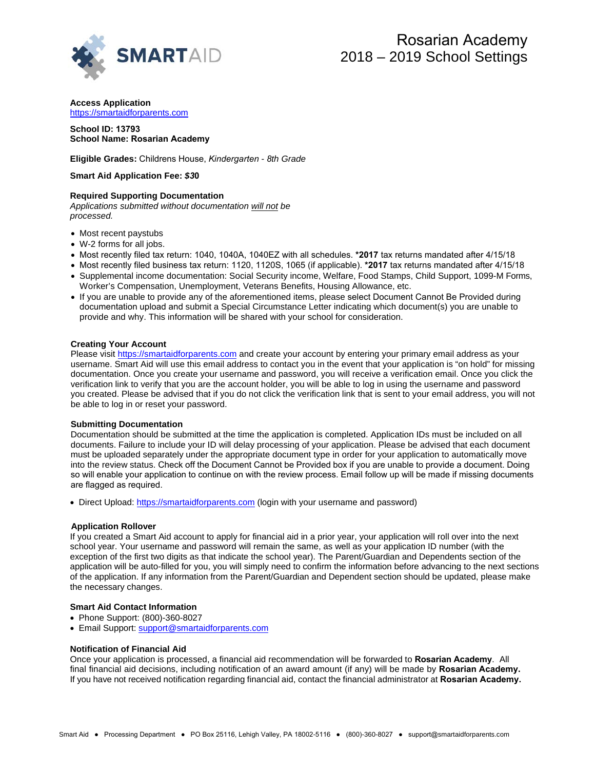

**Access Application** https://smartaidforparents.com

# **School ID: 13793 School Name: Rosarian Academy**

**Eligible Grades:** Childrens House, *Kindergarten - 8th Grade* 

### **Smart Aid Application Fee:** *\$3***0**

# **Required Supporting Documentation**

*Applications submitted without documentation will not be processed.* 

- Most recent paystubs
- W-2 forms for all jobs.
- Most recently filed tax return: 1040, 1040A, 1040EZ with all schedules. **\*2017** tax returns mandated after 4/15/18
- Most recently filed business tax return: 1120, 1120S, 1065 (if applicable). **\*2017** tax returns mandated after 4/15/18
- Supplemental income documentation: Social Security income, Welfare, Food Stamps, Child Support, 1099-M Forms, Worker's Compensation, Unemployment, Veterans Benefits, Housing Allowance, etc.
- If you are unable to provide any of the aforementioned items, please select Document Cannot Be Provided during documentation upload and submit a Special Circumstance Letter indicating which document(s) you are unable to provide and why. This information will be shared with your school for consideration.

# **Creating Your Account**

Please visit [https://smartaidforparents.com](http://www.smartaidforparents.com/) and create your account by entering your primary email address as your username. Smart Aid will use this email address to contact you in the event that your application is "on hold" for missing documentation. Once you create your username and password, you will receive a verification email. Once you click the verification link to verify that you are the account holder, you will be able to log in using the username and password you created. Please be advised that if you do not click the verification link that is sent to your email address, you will not be able to log in or reset your password.

#### **Submitting Documentation**

Documentation should be submitted at the time the application is completed. Application IDs must be included on all documents. Failure to include your ID will delay processing of your application. Please be advised that each document must be uploaded separately under the appropriate document type in order for your application to automatically move into the review status. Check off the Document Cannot be Provided box if you are unable to provide a document. Doing so will enable your application to continue on with the review process. Email follow up will be made if missing documents are flagged as required.

• Direct Upload[: https://smartaidforparents.com](http://www.smartaidforparents.com/) (login with your username and password)

# **Application Rollover**

If you created a Smart Aid account to apply for financial aid in a prior year, your application will roll over into the next school year. Your username and password will remain the same, as well as your application ID number (with the exception of the first two digits as that indicate the school year). The Parent/Guardian and Dependents section of the application will be auto-filled for you, you will simply need to confirm the information before advancing to the next sections of the application. If any information from the Parent/Guardian and Dependent section should be updated, please make the necessary changes.

# **Smart Aid Contact Information**

- Phone Suppor[t: \(800\)-360-8027](mailto:support@smartaidforparents.com)
- Email Support: support@smartaidforparents.com

#### **Notification of Financial Aid**

Once your application is processed, a financial aid recommendation will be forwarded to **Rosarian Academy**. All final financial aid decisions, including notification of an award amount (if any) will be made by **Rosarian Academy.**  If you have not received notification regarding financial aid, contact the financial administrator at **Rosarian Academy.**